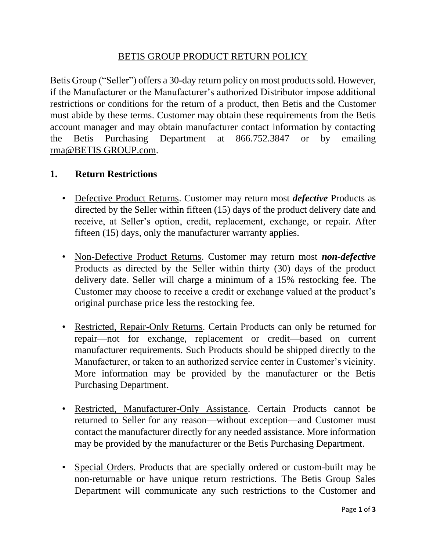# BETIS GROUP PRODUCT RETURN POLICY

Betis Group ("Seller") offers a 30-day return policy on most products sold. However, if the Manufacturer or the Manufacturer's authorized Distributor impose additional restrictions or conditions for the return of a product, then Betis and the Customer must abide by these terms. Customer may obtain these requirements from the Betis account manager and may obtain manufacturer contact information by contacting the Betis Purchasing Department at 866.752.3847 or by emailing rma@BETIS GROUP.com.

#### **1. Return Restrictions**

- Defective Product Returns. Customer may return most *defective* Products as directed by the Seller within fifteen (15) days of the product delivery date and receive, at Seller's option, credit, replacement, exchange, or repair. After fifteen (15) days, only the manufacturer warranty applies.
- Non-Defective Product Returns. Customer may return most *non-defective* Products as directed by the Seller within thirty (30) days of the product delivery date. Seller will charge a minimum of a 15% restocking fee. The Customer may choose to receive a credit or exchange valued at the product's original purchase price less the restocking fee.
- Restricted, Repair-Only Returns. Certain Products can only be returned for repair—not for exchange, replacement or credit—based on current manufacturer requirements. Such Products should be shipped directly to the Manufacturer, or taken to an authorized service center in Customer's vicinity. More information may be provided by the manufacturer or the Betis Purchasing Department.
- Restricted, Manufacturer-Only Assistance. Certain Products cannot be returned to Seller for any reason—without exception—and Customer must contact the manufacturer directly for any needed assistance. More information may be provided by the manufacturer or the Betis Purchasing Department.
- Special Orders. Products that are specially ordered or custom-built may be non-returnable or have unique return restrictions. The Betis Group Sales Department will communicate any such restrictions to the Customer and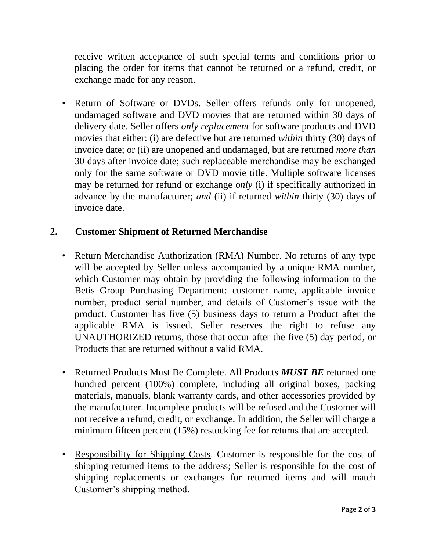receive written acceptance of such special terms and conditions prior to placing the order for items that cannot be returned or a refund, credit, or exchange made for any reason.

• Return of Software or DVDs. Seller offers refunds only for unopened, undamaged software and DVD movies that are returned within 30 days of delivery date. Seller offers *only replacement* for software products and DVD movies that either: (i) are defective but are returned *within* thirty (30) days of invoice date; or (ii) are unopened and undamaged, but are returned *more than*  30 days after invoice date; such replaceable merchandise may be exchanged only for the same software or DVD movie title. Multiple software licenses may be returned for refund or exchange *only* (i) if specifically authorized in advance by the manufacturer; *and* (ii) if returned *within* thirty (30) days of invoice date.

## **2. Customer Shipment of Returned Merchandise**

- Return Merchandise Authorization (RMA) Number. No returns of any type will be accepted by Seller unless accompanied by a unique RMA number, which Customer may obtain by providing the following information to the Betis Group Purchasing Department: customer name, applicable invoice number, product serial number, and details of Customer's issue with the product. Customer has five (5) business days to return a Product after the applicable RMA is issued. Seller reserves the right to refuse any UNAUTHORIZED returns, those that occur after the five (5) day period, or Products that are returned without a valid RMA.
- Returned Products Must Be Complete. All Products *MUST BE* returned one hundred percent (100%) complete, including all original boxes, packing materials, manuals, blank warranty cards, and other accessories provided by the manufacturer. Incomplete products will be refused and the Customer will not receive a refund, credit, or exchange. In addition, the Seller will charge a minimum fifteen percent (15%) restocking fee for returns that are accepted.
- Responsibility for Shipping Costs. Customer is responsible for the cost of shipping returned items to the address; Seller is responsible for the cost of shipping replacements or exchanges for returned items and will match Customer's shipping method.